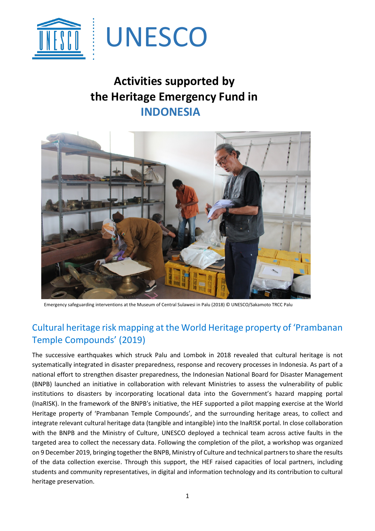

## **Activities supported by the Heritage Emergency Fund in INDONESIA**



Emergency safeguarding interventions at the Museum of Central Sulawesi in Palu (2018) © UNESCO/Sakamoto TRCC Palu

## Cultural heritage risk mapping at the World Heritage property of 'Prambanan Temple Compounds' (2019)

The successive earthquakes which struck Palu and Lombok in 2018 revealed that cultural heritage is not systematically integrated in disaster preparedness, response and recovery processes in Indonesia. As part of a national effort to strengthen disaster preparedness, the Indonesian National Board for Disaster Management (BNPB) launched an initiative in collaboration with relevant Ministries to assess the vulnerability of public institutions to disasters by incorporating locational data into the Government's hazard mapping portal (InaRISK). In the framework of the BNPB's initiative, the HEF supported a pilot mapping exercise at the World Heritage property of 'Prambanan Temple Compounds', and the surrounding heritage areas, to collect and integrate relevant cultural heritage data (tangible and intangible) into the InaRISK portal. In close collaboration with the BNPB and the Ministry of Culture, UNESCO deployed a technical team across active faults in the targeted area to collect the necessary data. Following the completion of the pilot, a workshop was organized on 9 December 2019, bringing together the BNPB, Ministry of Culture and technical partners to share the results of the data collection exercise. Through this support, the HEF raised capacities of local partners, including students and community representatives, in digital and information technology and its contribution to cultural heritage preservation.